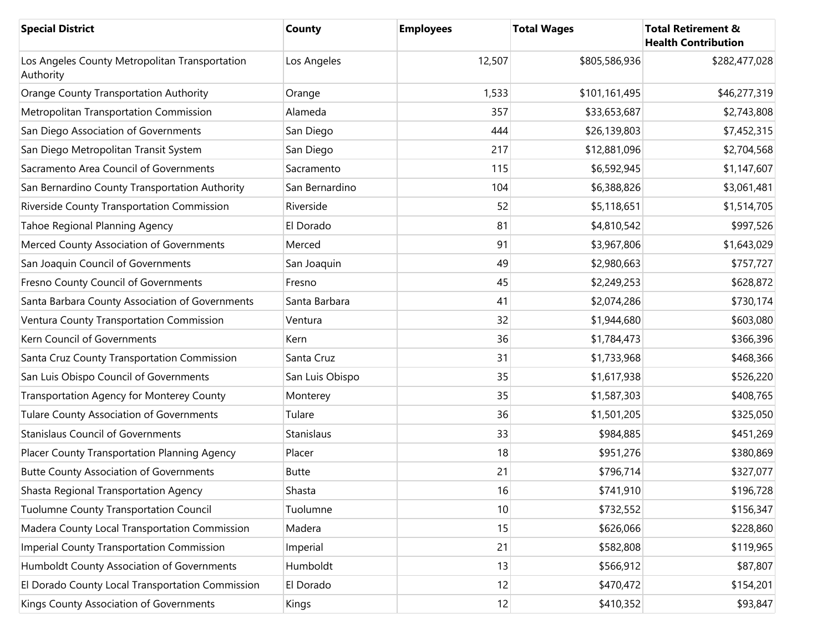| <b>Special District</b>                                     | County          | <b>Employees</b> | <b>Total Wages</b> | <b>Total Retirement &amp;</b><br><b>Health Contribution</b> |
|-------------------------------------------------------------|-----------------|------------------|--------------------|-------------------------------------------------------------|
| Los Angeles County Metropolitan Transportation<br>Authority | Los Angeles     | 12,507           | \$805,586,936      | \$282,477,028                                               |
| <b>Orange County Transportation Authority</b>               | Orange          | 1,533            | \$101,161,495      | \$46,277,319                                                |
| Metropolitan Transportation Commission                      | Alameda         | 357              | \$33,653,687       | \$2,743,808                                                 |
| San Diego Association of Governments                        | San Diego       | 444              | \$26,139,803       | \$7,452,315                                                 |
| San Diego Metropolitan Transit System                       | San Diego       | 217              | \$12,881,096       | \$2,704,568                                                 |
| Sacramento Area Council of Governments                      | Sacramento      | 115              | \$6,592,945        | \$1,147,607                                                 |
| San Bernardino County Transportation Authority              | San Bernardino  | 104              | \$6,388,826        | \$3,061,481                                                 |
| Riverside County Transportation Commission                  | Riverside       | 52               | \$5,118,651        | \$1,514,705                                                 |
| Tahoe Regional Planning Agency                              | El Dorado       | 81               | \$4,810,542        | \$997,526                                                   |
| Merced County Association of Governments                    | Merced          | 91               | \$3,967,806        | \$1,643,029                                                 |
| San Joaquin Council of Governments                          | San Joaquin     | 49               | \$2,980,663        | \$757,727                                                   |
| Fresno County Council of Governments                        | Fresno          | 45               | \$2,249,253        | \$628,872                                                   |
| Santa Barbara County Association of Governments             | Santa Barbara   | 41               | \$2,074,286        | \$730,174                                                   |
| Ventura County Transportation Commission                    | Ventura         | 32               | \$1,944,680        | \$603,080                                                   |
| Kern Council of Governments                                 | Kern            | 36               | \$1,784,473        | \$366,396                                                   |
| Santa Cruz County Transportation Commission                 | Santa Cruz      | 31               | \$1,733,968        | \$468,366                                                   |
| San Luis Obispo Council of Governments                      | San Luis Obispo | 35               | \$1,617,938        | \$526,220                                                   |
| Transportation Agency for Monterey County                   | Monterey        | 35               | \$1,587,303        | \$408,765                                                   |
| <b>Tulare County Association of Governments</b>             | Tulare          | 36               | \$1,501,205        | \$325,050                                                   |
| <b>Stanislaus Council of Governments</b>                    | Stanislaus      | 33               | \$984,885          | \$451,269                                                   |
| Placer County Transportation Planning Agency                | Placer          | 18               | \$951,276          | \$380,869                                                   |
| <b>Butte County Association of Governments</b>              | <b>Butte</b>    | 21               | \$796,714          | \$327,077                                                   |
| Shasta Regional Transportation Agency                       | Shasta          | 16               | \$741,910          | \$196,728                                                   |
| <b>Tuolumne County Transportation Council</b>               | Tuolumne        | 10               | \$732,552          | \$156,347                                                   |
| Madera County Local Transportation Commission               | Madera          | 15               | \$626,066          | \$228,860                                                   |
| <b>Imperial County Transportation Commission</b>            | Imperial        | 21               | \$582,808          | \$119,965                                                   |
| Humboldt County Association of Governments                  | Humboldt        | 13               | \$566,912          | \$87,807                                                    |
| El Dorado County Local Transportation Commission            | El Dorado       | 12               | \$470,472          | \$154,201                                                   |
| Kings County Association of Governments                     | Kings           | 12               | \$410,352          | \$93,847                                                    |